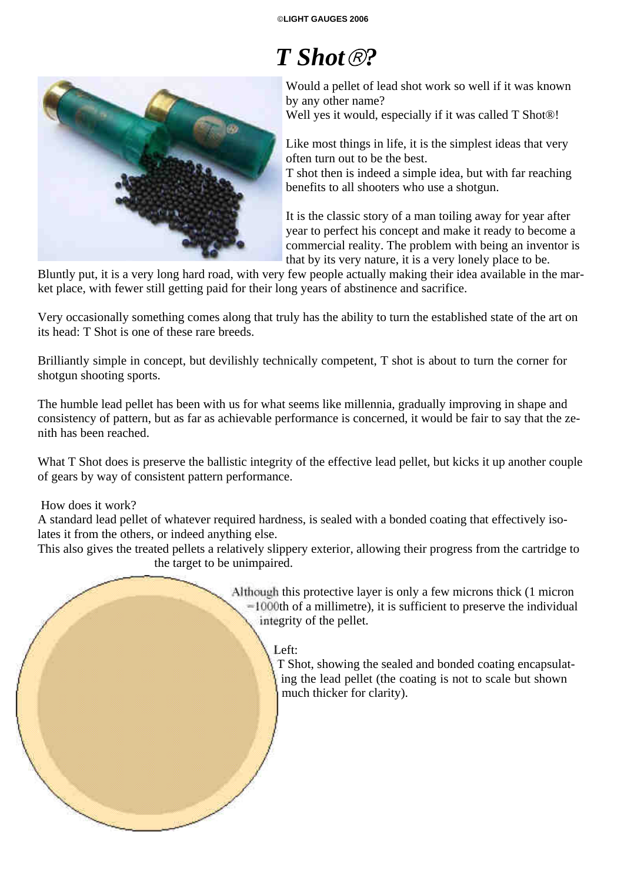# *T Shot ?*



Would a pellet of lead shot work so well if it was known by any other name?

Well yes it would, especially if it was called T Shot®!

Like most things in life, it is the simplest ideas that very often turn out to be the best.

T shot then is indeed a simple idea, but with far reaching benefits to all shooters who use a shotgun.

It is the classic story of a man toiling away for year after year to perfect his concept and make it ready to become a commercial reality. The problem with being an inventor is that by its very nature, it is a very lonely place to be.

Bluntly put, it is a very long hard road, with very few people actually making their idea available in the market place, with fewer still getting paid for their long years of abstinence and sacrifice.

Very occasionally something comes along that truly has the ability to turn the established state of the art on its head: T Shot is one of these rare breeds.

Brilliantly simple in concept, but devilishly technically competent, T shot is about to turn the corner for shotgun shooting sports.

The humble lead pellet has been with us for what seems like millennia, gradually improving in shape and consistency of pattern, but as far as achievable performance is concerned, it would be fair to say that the zenith has been reached.

What T Shot does is preserve the ballistic integrity of the effective lead pellet, but kicks it up another couple of gears by way of consistent pattern performance.

#### How does it work?

A standard lead pellet of whatever required hardness, is sealed with a bonded coating that effectively isolates it from the others, or indeed anything else.

This also gives the treated pellets a relatively slippery exterior, allowing their progress from the cartridge to the target to be unimpaired.

> Although this protective layer is only a few microns thick (1 micron =1000th of a millimetre), it is sufficient to preserve the individual integrity of the pellet.

### Left:

T Shot, showing the sealed and bonded coating encapsulating the lead pellet (the coating is not to scale but shown much thicker for clarity).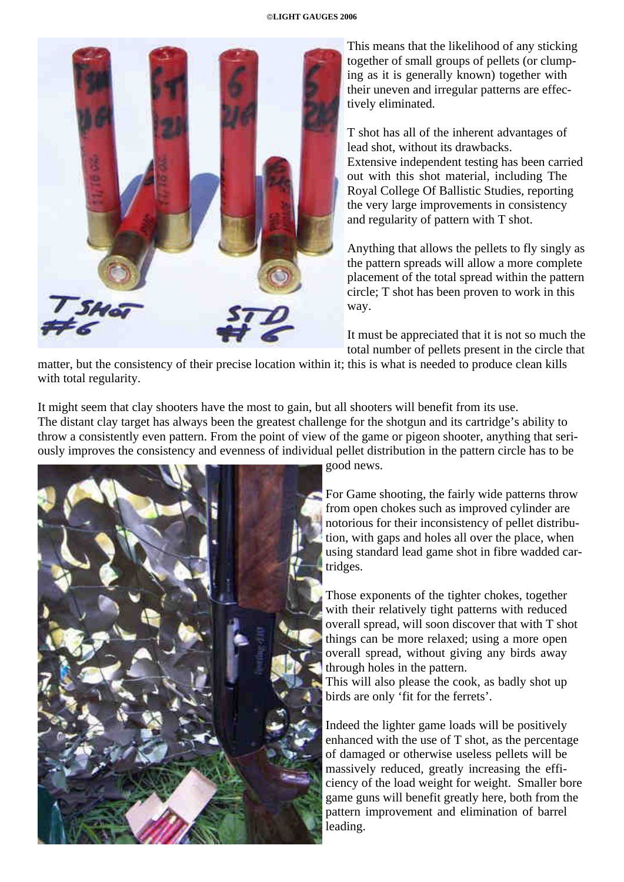

This means that the likelihood of any sticking together of small groups of pellets (or clumping as it is generally known) together with their uneven and irregular patterns are effectively eliminated.

T shot has all of the inherent advantages of lead shot, without its drawbacks. Extensive independent testing has been carried out with this shot material, including The Royal College Of Ballistic Studies, reporting the very large improvements in consistency and regularity of pattern with T shot.

Anything that allows the pellets to fly singly as the pattern spreads will allow a more complete placement of the total spread within the pattern circle; T shot has been proven to work in this way.

It must be appreciated that it is not so much the total number of pellets present in the circle that

matter, but the consistency of their precise location within it; this is what is needed to produce clean kills with total regularity.

It might seem that clay shooters have the most to gain, but all shooters will benefit from its use. The distant clay target has always been the greatest challenge for the shotgun and its cartridge's ability to throw a consistently even pattern. From the point of view of the game or pigeon shooter, anything that seriously improves the consistency and evenness of individual pellet distribution in the pattern circle has to be



good news.

For Game shooting, the fairly wide patterns throw from open chokes such as improved cylinder are notorious for their inconsistency of pellet distribution, with gaps and holes all over the place, when using standard lead game shot in fibre wadded cartridges.

Those exponents of the tighter chokes, together with their relatively tight patterns with reduced overall spread, will soon discover that with T shot things can be more relaxed; using a more open overall spread, without giving any birds away through holes in the pattern.

This will also please the cook, as badly shot up birds are only 'fit for the ferrets'.

Indeed the lighter game loads will be positively enhanced with the use of T shot, as the percentage of damaged or otherwise useless pellets will be massively reduced, greatly increasing the efficiency of the load weight for weight. Smaller bore game guns will benefit greatly here, both from the pattern improvement and elimination of barrel leading.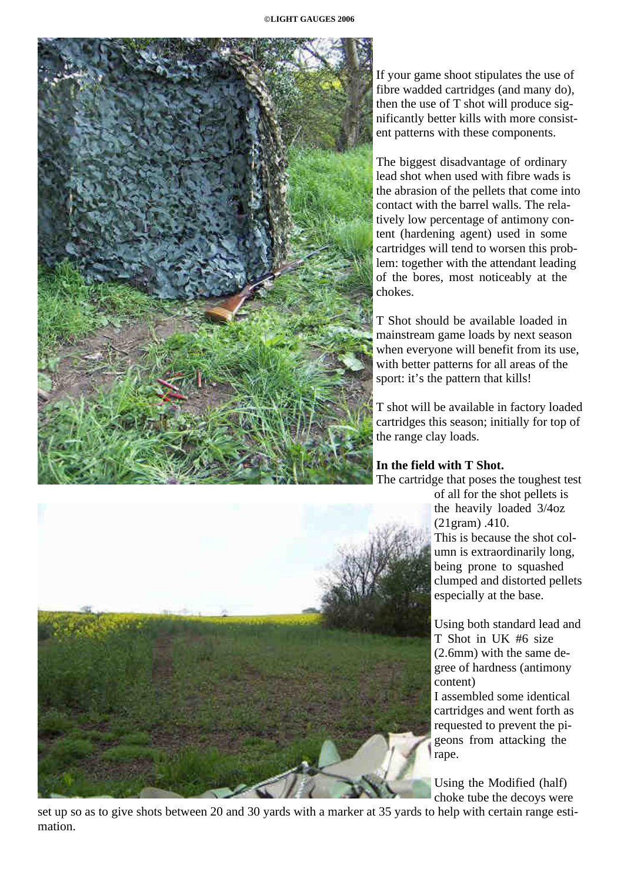

If your game shoot stipulates the use of fibre wadded cartridges (and many do), then the use of T shot will produce significantly better kills with more consistent patterns with these components.

The biggest disadvantage of ordinary lead shot when used with fibre wads is the abrasion of the pellets that come into contact with the barrel walls. The relatively low percentage of antimony content (hardening agent) used in some cartridges will tend to worsen this problem: together with the attendant leading of the bores, most noticeably at the chokes.

T Shot should be available loaded in mainstream game loads by next season when everyone will benefit from its use, with better patterns for all areas of the sport: it's the pattern that kills!

T shot will be available in factory loaded cartridges this season; initially for top of the range clay loads.

## **In the field with T Shot.**

The cartridge that poses the toughest test

of all for the shot pellets is the heavily loaded 3/4oz (21gram) .410. This is because the shot column is extraordinarily long, being prone to squashed clumped and distorted pellets especially at the base.

Using both standard lead and T Shot in UK #6 size (2.6mm) with the same degree of hardness (antimony content)

I assembled some identical cartridges and went forth as requested to prevent the pigeons from attacking the rape.

Using the Modified (half) choke tube the decoys were